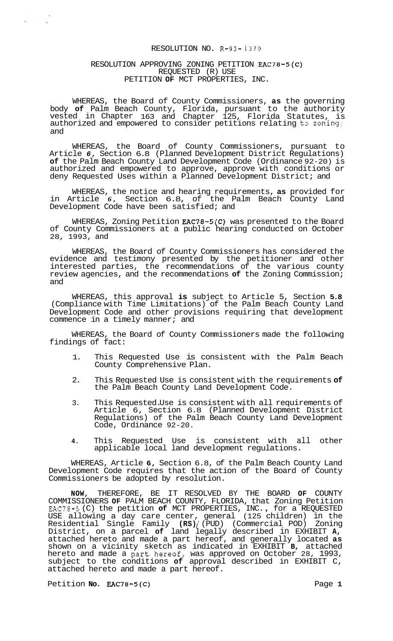#### RESOLUTION NO. R-93-1370

#### RESOLUTION APPROVING ZONING PETITION EAC78-5(C) REQUESTED (R) USE PETITION **OF** MCT PROPERTIES, INC.

WHEREAS, the Board of County Commissioners, **as** the governing body **of** Palm Beach County, Florida, pursuant to the authority vested in Chapter 163 and Chapter 125, Florida Statutes, is authorized and empowered to consider petitions relating to zoning; and

WHEREAS, the Board of County Commissioners, pursuant to Article *6,* Section 6.8 (Planned Development District Regulations) **of** the Palm Beach County Land Development Code (Ordinance 92-20) is authorized and empowered to approve, approve with conditions or deny Requested Uses within a Planned Development District; and

WHEREAS, the notice and hearing requirements, **as** provided for in Article *6,* Section 6.8, of the Palm Beach County Land Development Code have been satisfied; and

WHEREAS, Zoning Petition EAC78-5(C) was presented to the Board of County Commissioners at a public hearing conducted on October 28, 1993, and

WHEREAS, the Board of County Commissioners has considered the evidence and testimony presented by the petitioner and other interested parties, the recommendations of the various county review agencies, and the recommendations **of** the Zoning Commission; and

WHEREAS, this approval **is** subject to Article 5, Section **5.8**  (Compliance with Time Limitations) of the Palm Beach County Land Development Code and other provisions requiring that development commence in a timely manner; and

WHEREAS, the Board of County Commissioners made the following findings of fact:

- 1. This Requested Use is consistent with the Palm Beach County Comprehensive Plan.
- 2. This Requested Use is consistent with the requirements **of**  the Palm Beach County Land Development Code.
- 3. This Requested. Use is consistent with all requirements of Article 6, Section 6.8 (Planned Development District Regulations) of the Palm Beach County Land Development Code, Ordinance 92-20.
- **4.** This Requested Use is consistent with all other applicable local land development regulations.

WHEREAS, Article **6,** Section 6.8, of the Palm Beach County Land Development Code requires that the action of the Board of County Commissioners be adopted by resolution.

**NOW,** THEREFORE, BE IT RESOLVED BY THE BOARD **OF** COUNTY COMMISSIONERS **OF** PALM BEACH COUNTY, FLORIDA, that Zoning Petition EAC78-5 (C) the petition **of** MCT PROPERTIES, INC. , for a REQUESTED USE allowing a day care center, general (125 children) in the Residential Single Family **(RS)** / (PUD) (Commercial POD) Zoning District, on a parcel **of** land legally described in EXHIBIT **A,**  attached hereto and made a part hereof, and generally located **as**  shown on a vicinity sketch as indicated in EXHIBIT **B,** attached hereto and made a part.hereof, was approved on October 28, 1993, subject to the conditions **of** approval described in EXHIBIT C, attached hereto and made a part hereof.

Petition **No. EAC78-5(C)** Page 1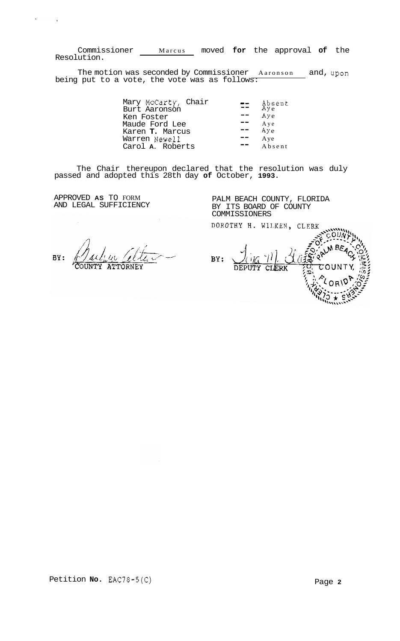Commissioner Marcus moved **for** the approval **of** the Resolution.

The motion was seconded by Commissioner Aaronson and, upon being put to a vote, the vote was as follows:

| Mary McCarty, Chair    | $\mathbb{R}$ $\mathbb{R}$ | Absent<br>Aye |
|------------------------|---------------------------|---------------|
| Burt Aaronson          |                           |               |
| Ken Foster             |                           | Aye           |
| Maude Ford Lee         |                           | Aye<br>Aye    |
| Karen <b>T.</b> Marcus |                           |               |
| Warren Newell          |                           | Aye           |
| Carol A. Roberts       |                           | Absent        |

The Chair thereupon declared that the resolution was duly passed and adopted this 28th day **of** October, **1993.** 

APPROVED **AS** TO FORM AND LEGAL SUFFICIENCY

 $\mathbf{f}$ 

PALM BEACH COUNTY, FLORIDA BY ITS BOARD OF COUNTY COMMISSIONERS<br>DOROTHY H. WILKEN, CLERK

BY:

BY:  $\overline{\mathtt{DEF}}$ CLERK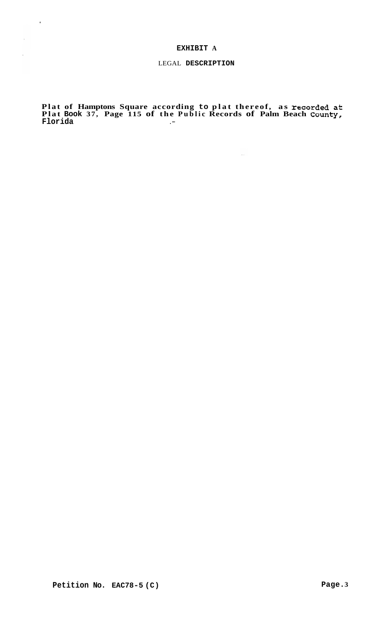# **EXHIBIT A**

 $\sim$   $t$  .

# LEGAL **DESCRIPTION**

**Plat of Hamptons Square according to plat thereof, as recorded at Plat Book 37, Page 115 of the Public Records of Palm Beach County, Florida** .-

 $\sim$  44  $\%$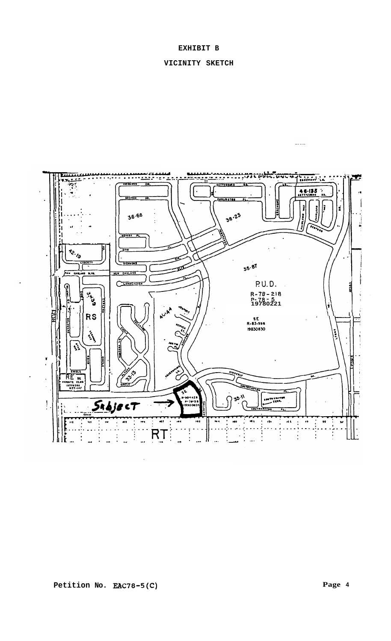# **EXHIBIT B**

# **VICINITY SKETCH**

 $\frac{1}{2}$ 

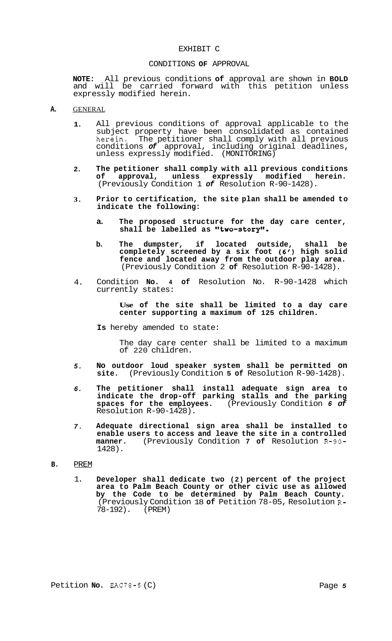#### EXHIBIT C

#### CONDITIONS **OF** APPROVAL

**NOTE:** All previous conditions **of** approval are shown in **BOLD**  and will be carried forward with this petition unless expressly modified herein.

#### **A.** GENERAL

- **1.**  All previous conditions of approval applicable to the subject property have been consolidated as contained herein. The petitioner shall comply with all previous conditions *of* approval, including original deadlines, unless expressly modified. (MONITORING)
- **2. The petitioner shall comply with all previous conditions of approval, unless expressly modified herein.**  (Previously Condition 1 *of* Resolution R-90-1428).
- **3. Prior to certification, the site plan shall be amended to indicate the following:** 
	- **a. The proposed structure for the day care center,**  shall be labelled as "two-story".
	- **b. The dumpster, if located outside, shall be completely screened by a six foot** *(6')* **high solid fence and located away from the outdoor play area.**  (Previously Condition 2 **of** Resolution R-90-1428).
- 4. Condition **No. 4 of** Resolution No. R-90-1428 which currently states:

**Use of the site shall be limited to a day care center supporting a maximum of 125 children.** 

**Is** hereby amended to state:

The day care center shall be limited to a maximum of 220 children.

- *5.*  **No outdoor loud speaker system shall be permitted on site.** (Previously Condition **5 of** Resolution R-90-1428).
- *6.*  **The petitioner shall install adequate sign area to indicate the drop-off parking stalls and the parking spaces for the employees.** (Previously Condition *6 of*  Resolution R-90-1428).
- *7.*  **Adequate directional sign area shall be installed to enable users to access and leave the site in a controlled manner.** (Previously Condition **7 of** Resolution R-90- 1428).

### **B.** PREM

1. **Developer shall dedicate two (2) percent of the project area to Palm Beach County or other civic use as allowed by the Code to be determined by Palm Beach County.**  (Previously Condition 18 **of** Petition 78-05, Resolution R-78-192). (PREM)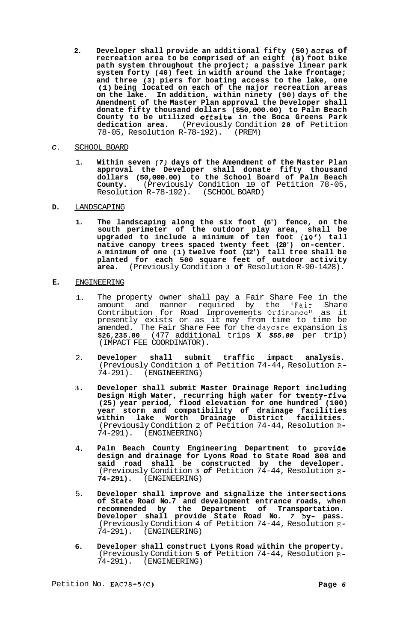**2. Developer shall provide an additional fifty (50) acres of recreation area to be comprised of an eight (8) foot bike path system throughout the project; a passive linear park system forty (40) feet in width around the lake frontage; and three (3) piers for boating access to the lake, one (1) being located on each of the major recreation areas on the lake. In addition, within ninety (90) days of the Amendment of the Master Plan approval the Developer shall donate fifty thousand dollars (\$50,000.00) to Palm Beach County to be utilized offsite in the Boca Greens Park dedication area.** (Previously Condition **20 of** Petition 78-05, Resolution R-78-192). (PREM)

# *C.* SCHOOL BOARD

1. **Within seven** *(7)* **days of the Amendment of the Master Plan approval the Developer shall donate fifty thousand dollars (50,000.00) to the School Board of Palm Beach County.** (Previously Condition 19 of Petition 78-05, Resolution R-78-192). (SCHOOL BOARD)

# **D.** LANDSCAPING

**1. The landscaping along the six foot (6') fence, on the south perimeter of the outdoor play area, shall be upgraded to include a minimum of ten foot (10') tall native canopy trees spaced twenty feet (20') on-center. A minimum of one (1) twelve foot (12') tall tree shall be planted for each 500 square feet of outdoor activity area.** (Previously Condition **3 of** Resolution R-90-1428).

# **E.** ENGINEERING

- 1. The property owner shall pay a Fair Share Fee in the amount and manner required by the "Fair Share Contribution for Road Improvements Ordinance" as it presently exists or as it may from time to time be amended. The Fair Share Fee for the daycare expansion is **\$26,235.00** (477 additional trips **X** *\$55.00* per trip) (IMPACT FEE COORDINATOR).
- 2. **Developer shall submit traffic impact analysis.**  (Previously Condition **1** of Petition 74-44, Resolution **R-**74-291). (ENGINEERING)
- **3. Developer shall submit Master Drainage Report including Design High Water, recurring high water for twenty-five (25) year period, flood elevation for one hundred (100) year storm and compatibility of drainage facilities within lake Worth Drainage District facilities.**  (Previously Condition 2 of Petition 74-44, Resolution R-<br>74-291). (ENGINEERING) 74-291). (ENGINEERING)
- 4. Palm Beach County Engineering Department to **provide design and drainage for Lyons Road to State Road 808 and said road shall be constructed by the developer.**  (Previously Condition **3** *of* Petition 74-44, Resolution R-**74-291).** (ENGINEERING)
- 5. **Developer shall improve and signalize the intersections of State Road No.7 and development entrance roads, when recommended by the Department of Transportation. Developer shall provide State Road No.** *7* **by- pass.**  (Previously Condition 4 of Petition 74-44, Resolution R-74-291). (ENGINEERING)
- **6. Developer shall construct Lyons Road within the property.**  (Previously Condition **5 of** Petition 74-44, Resolution R-74-291). (ENGINEERING)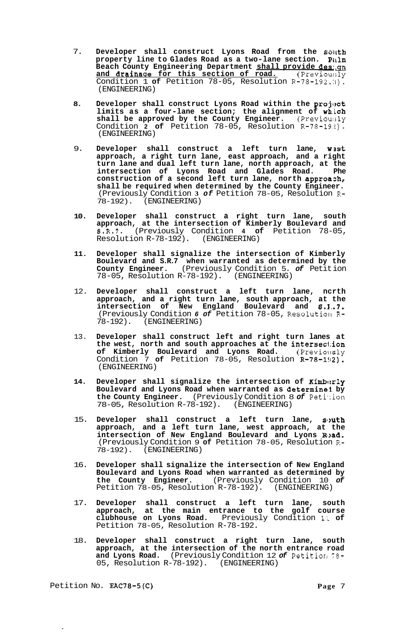- 7. Developer shall construct Lyons Road from the south **property line to Glades Road as a two-lane section. Pitlm Beach County Engineering Department shall provide des: gn** and drainage for this section of road. (Previously Condition 1 of Petition 78-05, Resolution  $R-78-192.3$ . (ENGINEERING)
- 8. Developer shall construct Lyons Road within the project **limits as a four-lane section; the alignment of wh.ich shall be approved by the County Engineer.** (Previoulsly Condition **2 of** Petition 78-05, Resolution R-78-19.!). (ENGINEERING)
- 9. **Developer shall construct a left turn lane, wsst approach, a right turn lane, east approach, and a right turn lane and dual left turn lane, north approach, at the intersection of Lyons Road and Glades Road. Phe construction of a second left turn lane, north approazh, shall be required when determined by the County Engineer.**  (Previously Condition **3** *of* Petition 78-05, Resolution **R-**78-192). (ENGINEERING)
- **10. Developer shall construct a right turn lane, south approach, at the intersection of Kimberly Boulevard and S.R.7.** (Previously Condition **4 of** Petition 78-05, Resolution  $R-78-192$ ).
- **11. Developer shall signalize the intersection of Kimberly Boulevard and S.R.7 when warranted as determined by the County Engineer.** (Previously Condition 5. *of* Petit ion 78-05, Resolution R-78-192). (ENGINEERING)
- 12. **Developer shall construct a left turn lane, ncrth approach, and a right turn lane, south approach, at the intersection of New England Boulevard and S.E..7.**  (Previously Condition *6 of* Petition 78-05, Resolutiolk **R-**78-192). (ENGINEERING)
- 13. **Developer shall construct left and right turn lanes at the west, north and south approaches at the intersec1:ion of Kimberly Boulevard and Lyons Road.** (Previollsly Condition 7 of Petition 78-05, Resolution R-78-192). (ENGINEERING)
- 14. Developer shall signalize the intersection of Kimberly **Boulevard and Lyons Road when warranted as determine11 by the County Engineer.** (Previously Condition 8 *of* Peti':ion 78-05, Resolution R-78-192). (ENGINEERING)
- 15. Developer shall construct a left turn lane, south **approach, and a left turn lane, west approach, at the intersection of New England Boulevard and Lyons Rl>ad.**  (Previously Condition 9 **of** Petition 78-05, Resolution **R-**78-192). (ENGINEERING)
- 16. **Developer shall signalize the intersection of New England Boulevard and Lyons Road when warranted as determined by the County Engineer.** (Previously Condition 10 *of*  Petition 78-05, Resolution R-78-192). (ENGINEERING)
- 17. **Developer shall construct a left turn lane, south approach, at the main entrance to the golf course clubhouse on Lyons Road.** Previously Condition l:~ **of**  Petition 78-05, Resolution R-78-192.
- 18. **Developer shall construct a right turn lane, south approach, at the intersection of the north entrance road and Lyons Road.** (Previously Condition 12 *of* Petitiorl 78- 05, Resolution R-78-192). (ENGINEERING)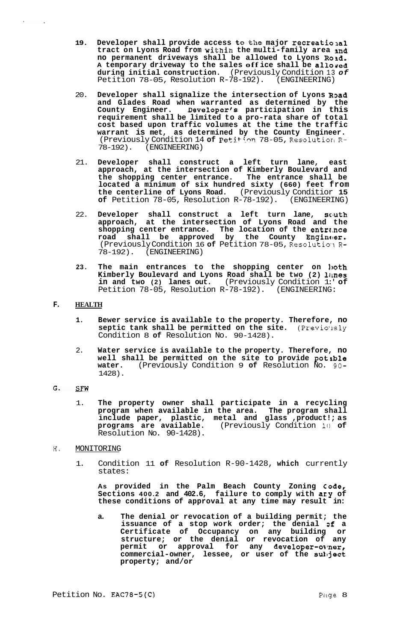- 19. Developer shall provide access to the major recreational **tract on Lyons Road from within the multi-family area snd no permanent driveways shall be allowed to Lyons Road. <sup>A</sup>temporary driveway to the sales off ice shall be allowed during initial construction.** (Previously Condition 13 *of*  Petition 78-05, Resolution R-78-192). (ENGINEERING)
- 20. **Developer shall signalize the intersection of Lyons RDad and Glades Road when warranted as determined by the County Engineer. Developer's participation in this requirement shall be limited to a pro-rata share of total cost based upon traffic volumes at the time the traffic warrant is met, as determined by the County Engineer.**  (Previously Condition 14 of Peti<sup>+1</sup>on 78-05, Resolution R-78-192). (ENGINEERING)
- 21. **Developer shall construct a left turn lane, east approach, at the intersection of Kimberly Boulevard and the shopping center entrance. The entrance shall be located a minimum of six hundred sixty (660) feet from the centerline of Lyons Road.** (Previously Conditior **15 of** Petition 78-05, Resolution R-78-192). (ENGINEERING)
- 22. Developer shall construct a left turn lane, south **approach, at the intersection of Lyons Road and the**  shopping center entrance. The location of the entrance **road shall be approved by the County Enginc!er.**  (Previously Condition 16 **of** Petition 78-05, Reso1utio:lR-78-192). (ENGINEERING)
- 23. The main entrances to the shopping center on loth **Kimberly Boulevard and Lyons Road shall be two (2) limes in and two (2) lanes out.** (Previously Condition 1:' **of**  Petition 78-05, Resolution R-78-192). (ENGINEERING:

# **F. HEALTH**

 $\lambda$  .

 $\sim 100$ 

- **1. Bewer service is available to the property. Therefore, no septic tank shall be permitted on the site.** (Previo'lsly Condition 8 **of** Resolution No. 90-1428).
- 2. **Water service is available to the property. Therefore, no well shall be permitted on the site to provide potable water.** (Previously Condition 9 **of** Resolution No. 90- 1428).

#### G. SFW

- 1. **The property owner shall participate in a recycling program when available in the area. The program shall include paper, plastic, metal and glass ,product!; as programs are available.** (Previously Condition 10 **of**  Resolution No. 90-1428).
- **H.** MONITORING
	- 1. Condition 11 **of** Resolution R-90-1428, **which** currently states:

As provided in the Palm Beach County Zoning Code, **Sections 400.2 and 402.6, failure to comply with ary of these conditions of approval at any time may result in:** 

**a. The denial or revocation of a building permit; the issuance of a stop work order; the denial Df a Certificate of Occupancy on any building or structure; or the denial or revocation of any**  permit or approval for any developer-ovner, **commercial-owner, lessee, or user of the sullject property; and/or**